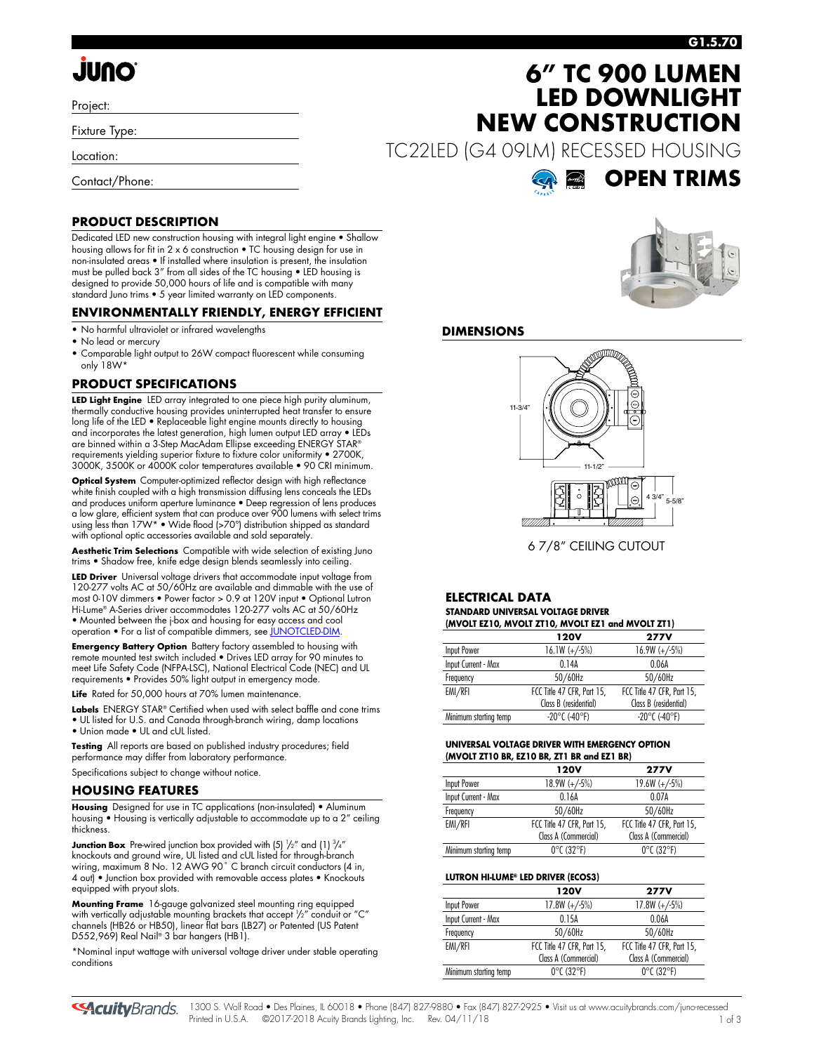# **JUNO**

Project:

Fixture Type:

Location:

Contact/Phone:

## **6" TC 900 LUMEN LED DOWNLIGHT NEW CONSTRUCTION**

TC22LED (G4 09LM) RECESSED HOUSING



#### **PRODUCT DESCRIPTION**

Dedicated LED new construction housing with integral light engine • Shallow housing allows for fit in 2 x 6 construction • TC housing design for use in non-insulated areas • If installed where insulation is present, the insulation must be pulled back 3" from all sides of the TC housing • LED housing is designed to provide 50,000 hours of life and is compatible with many standard Juno trims • 5 year limited warranty on LED components.

#### **ENVIRONMENTALLY FRIENDLY, ENERGY EFFICIENT**

- No harmful ultraviolet or infrared wavelengths
- No lead or mercury
- Comparable light output to 26W compact fluorescent while consuming only 18W\*

### **PRODUCT SPECIFICATIONS**

**LED Light Engine** LED array integrated to one piece high purity aluminum, thermally conductive housing provides uninterrupted heat transfer to ensure long life of the LED • Replaceable light engine mounts directly to housing and incorporates the latest generation, high lumen output LED array • LEDs are binned within a 3-Step MacAdam Ellipse exceeding ENERGY STAR® requirements yielding superior fixture to fixture color uniformity • 2700K, 3000K, 3500K or 4000K color temperatures available • 90 CRI minimum.

**Optical System** Computer-optimized reflector design with high reflectance white finish coupled with a high transmission diffusing lens conceals the LEDs and produces uniform aperture luminance • Deep regression of lens produces a low glare, efficient system that can produce over 900 lumens with select trims using less than 17W\* • Wide flood (>70°) distribution shipped as standard with optional optic accessories available and sold separately.

**Aesthetic Trim Selections** Compatible with wide selection of existing Juno trims • Shadow free, knife edge design blends seamlessly into ceiling.

**LED Driver** Universal voltage drivers that accommodate input voltage from 120-277 volts AC at 50/60Hz are available and dimmable with the use of most 0-10V dimmers • Power factor > 0.9 at 120V input • Optional Lutron Hi-Lume® A-Series driver accommodates 120-277 volts AC at 50/60Hz • Mounted between the j-box and housing for easy access and cool operation • For a list of compatible dimmers, se[e JUNOTCLED-DIM.](http://www.acuitybrands.com/shell/-/media/Files/Acuity/Other/JUNOICLED-DIM.pdf)

**Emergency Battery Option** Battery factory assembled to housing with remote mounted test switch included • Drives LED array for 90 minutes to meet Life Safety Code (NFPA-LSC), National Electrical Code (NEC) and UL requirements • Provides 50% light output in emergency mode.

**Life** Rated for 50,000 hours at 70% lumen maintenance.

Labels ENERGY STAR® Certified when used with select baffle and cone trims • UL listed for U.S. and Canada through-branch wiring, damp locations • Union made • UL and cUL listed.

**Testing** All reports are based on published industry procedures; field performance may differ from laboratory performance.

Specifications subject to change without notice.

#### **HOUSING FEATURES**

**Housing** Designed for use in TC applications (non-insulated) • Aluminum housing • Housing is vertically adjustable to accommodate up to a 2" ceiling thickness.

**Junction Box** Pre-wired junction box provided with (5) ½" and (1) ¾" knockouts and ground wire, UL listed and cUL listed for through-branch wiring, maximum 8 No. 12 AWG 90˚ C branch circuit conductors (4 in, 4 out) • Junction box provided with removable access plates • Knockouts equipped with pryout slots.

**Mounting Frame** 16-gauge galvanized steel mounting ring equipped with vertically adjustable mounting brackets that accept 1 /2" conduit or "C" channels (HB26 or HB50), linear flat bars (LB27) or Patented (US Patent D552,969) Real Nail® 3 bar hangers (HB1).

\*Nominal input wattage with universal voltage driver under stable operating conditions



#### **DIMENSIONS**



6 7/8" CEILING CUTOUT

#### **ELECTRICAL DATA STANDARD UNIVERSAL VOLTAGE DRIVER (MVOLT EZ10, MVOLT ZT10, MVOLT EZ1 and MVOLT ZT1)**

| $(0.01$ version $V$ , $(0.01$ version $V$ , $(0.01)$ version $V$ . The $V$ version $V$ |                            |                            |  |  |  |
|----------------------------------------------------------------------------------------|----------------------------|----------------------------|--|--|--|
|                                                                                        | 120V                       | <b>277V</b>                |  |  |  |
| Input Power                                                                            | $16.1W (+/-5%)$            | $16.9W (+/-5%)$            |  |  |  |
| Input Current - Max                                                                    | 0.14A                      | 0.06A                      |  |  |  |
| Frequency                                                                              | 50/60Hz                    | 50/60Hz                    |  |  |  |
| EMI/RFI                                                                                | FCC Title 47 CFR, Part 15, | FCC Title 47 CFR, Part 15, |  |  |  |
|                                                                                        | Class B (residential)      | Class B (residential)      |  |  |  |
| Minimum starting temp                                                                  | $-20^{\circ}$ C (-40°F)    | $-20^{\circ}$ C (-40°F)    |  |  |  |
|                                                                                        |                            |                            |  |  |  |

#### **UNIVERSAL VOLTAGE DRIVER WITH EMERGENCY OPTION (MVOLT ZT10 BR, EZ10 BR, ZT1 BR and EZ1 BR)**

| <b>120V</b>                     | <b>277V</b>                     |
|---------------------------------|---------------------------------|
| $18.9W (+/-5%)$                 | $19.6W (+/-5%)$                 |
| 0.16A                           | 0.07A                           |
| 50/60Hz                         | 50/60Hz                         |
| FCC Title 47 CFR, Part 15,      | FCC Title 47 CFR, Part 15,      |
| Class A (Commercial)            | Class A (Commercial)            |
| $0^{\circ}$ C (32 $^{\circ}$ F) | $0^{\circ}$ C (32 $^{\circ}$ F) |
|                                 |                                 |

#### **LUTRON HI-LUME® LED DRIVER (ECOS3)**

|                       | 120V                            | <b>277V</b>                     |
|-----------------------|---------------------------------|---------------------------------|
| Input Power           | $17.8W (+/-5%)$                 | $17.8W (+/-5%)$                 |
| Input Current - Max   | 0.15A                           | 0.06A                           |
| Frequency             | 50/60Hz                         | 50/60Hz                         |
| EMI/RFI               | FCC Title 47 CFR, Part 15,      | FCC Title 47 CFR, Part 15,      |
|                       | Class A (Commercial)            | Class A (Commercial)            |
| Minimum starting temp | $0^{\circ}$ C (32 $^{\circ}$ F) | $0^{\circ}$ C (32 $^{\circ}$ F) |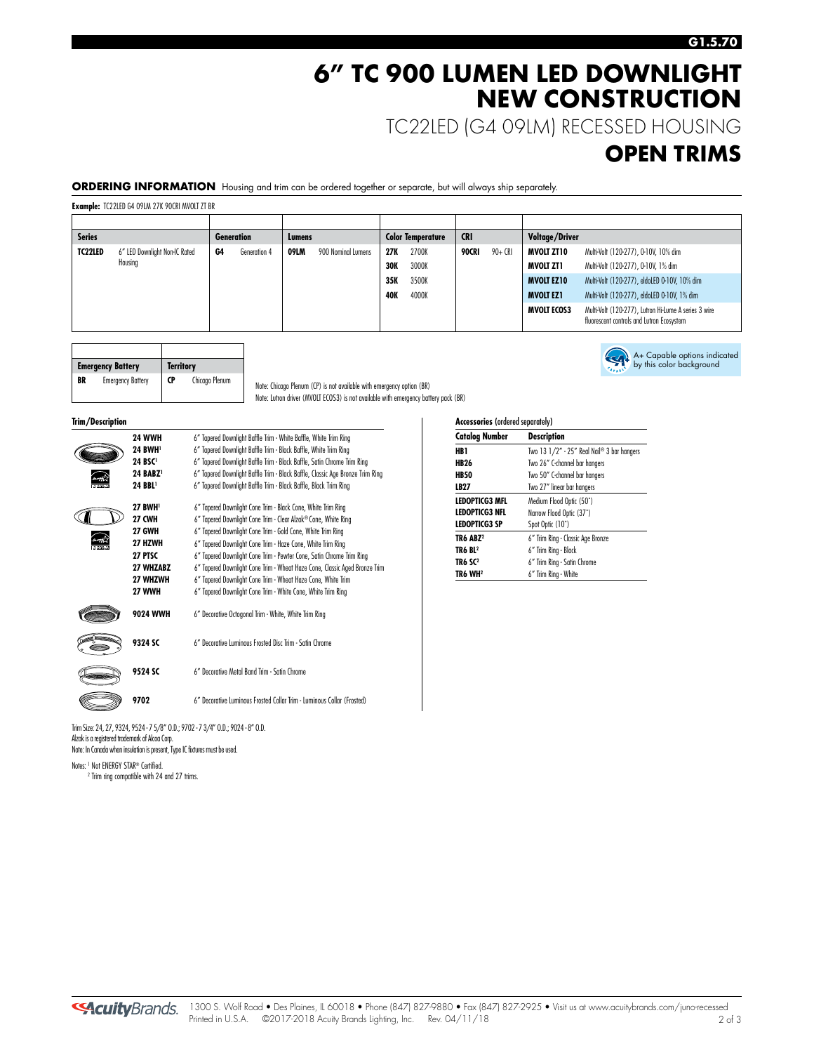### **6" TC 900 LUMEN LED DOWNLIGHT NEW CONSTRUCTION**

TC22LED (G4 09LM) RECESSED HOUSING

### **OPEN TRIMS**

A+ Capable options indicated by this color background

**ORDERING INFORMATION** Housing and trim can be ordered together or separate, but will always ship separately.

**Example:** TC22LED G4 09LM 27K 90CRI MVOLT ZT BR

| <b>Series</b> |                               |    | Generation   | Lumens |                    |     | <b>Color Temperature</b> | <b>CRI</b> |         | Voltage/Driver     |                                                                                                   |
|---------------|-------------------------------|----|--------------|--------|--------------------|-----|--------------------------|------------|---------|--------------------|---------------------------------------------------------------------------------------------------|
| TC22LED       | 6" LED Downlight Non-IC Rated | G4 | Generation 4 | 09LM   | 900 Nominal Lumens | 27K | 2700K                    | 90CRI      | 90+ CRI | MVOLT ZT10         | Multi-Volt (120-277), 0-10V, 10% dim                                                              |
|               | Housing                       |    |              |        |                    | 30K | 3000K                    |            |         | MVOLT ZT1          | Multi-Volt (120-277), 0-10V, 1% dim                                                               |
|               |                               |    |              |        |                    | 35K | 3500K                    |            |         | <b>MVOLT EZ10</b>  | Multi-Volt (120-277), eldoLED 0-10V, 10% dim                                                      |
|               |                               |    |              |        |                    | 40K | 4000K                    |            |         | <b>MVOLT EZ1</b>   | Multi-Volt (120-277), eldoLED 0-10V, 1% dim                                                       |
|               |                               |    |              |        |                    |     |                          |            |         | <b>MVOLT ECOS3</b> | Multi-Volt (120-277), Lutron Hi-Lume A series 3 wire<br>fluorescent controls and Lutron Ecosystem |

| <b>Emergency Battery</b> |                          | <b>Territory</b> |                |
|--------------------------|--------------------------|------------------|----------------|
| BR                       | <b>Emergency Battery</b> | CP               | Chicago Plenum |

| erv     |           | <b>Territory</b> |     |  |  |
|---------|-----------|------------------|-----|--|--|
| Battery | <b>CP</b> | Chicago Plenum   | Not |  |  |

te: Chicago Plenum (CP) is not available with emergency option (BR) Note: Lutron driver (MVOLT ECOS3) is not available with emergency battery pack (BR)

**Trim/Description** 

| <b>24 WWH</b>        | 6" Tapered Downlight Baffle Trim - White Baffle, White Trim Ring              |
|----------------------|-------------------------------------------------------------------------------|
| 24 BWH <sup>1</sup>  | 6" Tapered Downlight Baffle Trim - Black Baffle, White Trim Ring              |
| 24 BSC <sup>1</sup>  | 6" Tapered Downlight Baffle Trim - Black Baffle, Satin Chrome Trim Ring       |
| 24 BABZ <sup>1</sup> | 6" Tapered Downlight Baffle Trim - Black Baffle, Classic Age Bronze Trim Ring |
| 24 BBL <sup>1</sup>  | 6" Tapered Downlight Baffle Trim - Black Baffle, Black Trim Ring              |
| <b>27 BWH</b>        | 6" Tapered Downlight Cone Trim - Black Cone, White Trim Ring                  |
| <b>27 CWH</b>        | 6" Tapered Downlight Cone Trim - Clear Alzak® Cone, White Ring                |
| <b>27 GWH</b>        | 6" Tapered Downlight Cone Trim - Gold Cone, White Trim Ring                   |
| 27 HZWH              | 6" Tapered Downlight Cone Trim - Haze Cone, White Trim Ring                   |
| <b>27 PTSC</b>       | 6" Tapered Downlight Cone Trim - Pewter Cone, Satin Chrome Trim Ring          |
| <b>27 WHZABZ</b>     | 6" Tapered Downlight Cone Trim - Wheat Haze Cone, Classic Aged Bronze Trim    |
| 27 WHZWH             | 6" Tapered Downlight Cone Trim - Wheat Haze Cone, White Trim                  |
| 27 WWH               | 6" Tapered Downlight Cone Trim - White Cone, White Trim Ring                  |
| <b>9024 WWH</b>      | 6" Decorative Octogonal Trim - White, White Trim Ring                         |
| 9324 SC              | 6" Decorative Luminous Frosted Disc Trim - Satin Chrome                       |
| 9524 SC              | 6" Decorative Metal Band Trim - Satin Chrome                                  |
| 9702                 | 6" Decorative Luminous Frosted Collar Trim - Luminous Collar (Frosted)        |
|                      |                                                                               |

Trim Size: 24, 27, 9324, 9524 - 7 5/8" O.D.; 9702 - 7 3/4" O.D.; 9024 - 8" O.D. Alzak is a registered trademark of Alcoa Corp. Note: In Canada when insulation is present, Type IC fixtures must be used.

Notes: <sup>1</sup> Not ENERGY STAR® Certified. <sup>2</sup> Trim ring compatible with 24 and 27 trims.

| <b>Accessories (ordered separately)</b> |                                            |  |  |
|-----------------------------------------|--------------------------------------------|--|--|
| <b>Catalog Number</b>                   | <b>Description</b>                         |  |  |
| HB 1                                    | Two 13 1/2" - 25" Real Nail® 3 bar hangers |  |  |
| HB 26                                   | Two 26" C-channel bar hangers              |  |  |
| <b>HB50</b>                             | Two 50" C-channel bar hangers              |  |  |
| LB27                                    | Two 27" linear bar hangers                 |  |  |
| LEDOPTICG3 MFL                          | Medium Flood Optic (50°)                   |  |  |
| <b>LEDOPTICG3 NFL</b>                   | Narrow Flood Optic (37°)                   |  |  |
| <b>LEDOPTICG3 SP</b>                    | Spot Optic (10°)                           |  |  |
| TR6 ABZ <sup>2</sup>                    | 6" Trim Ring - Classic Age Bronze          |  |  |
| TR6 BL <sup>2</sup>                     | 6" Trim Ring - Black                       |  |  |
| TR6 SC <sup>2</sup>                     | 6" Trim Ring - Satin Chrome                |  |  |
| TR6 WH2                                 | 6" Trim Ring - White                       |  |  |